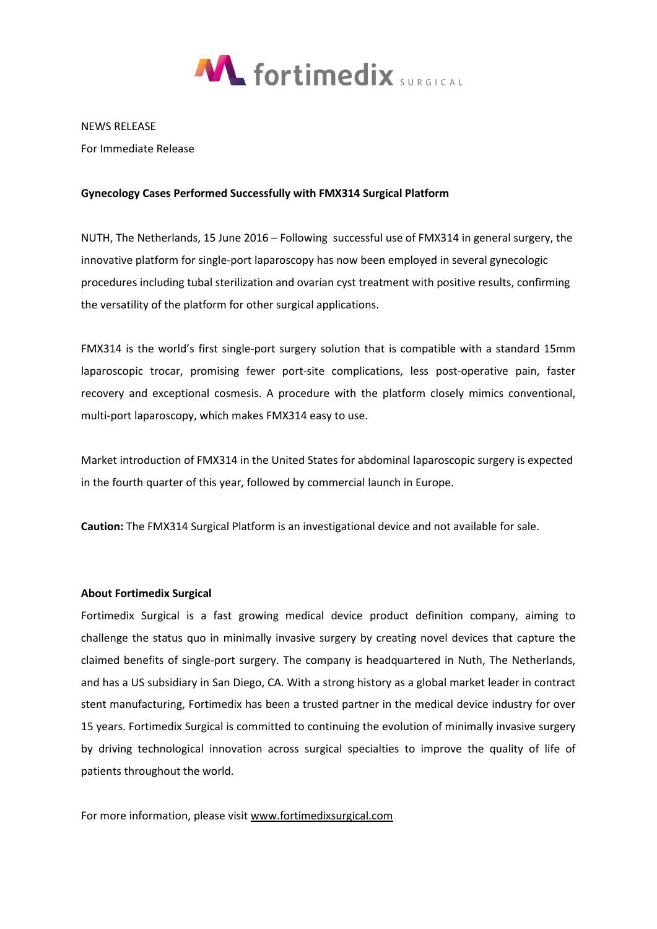

NEWS RELEASE

For Immediate Release

## **Gynecology Cases Performed Successfully with FMX314 Surgical Platform**

NUTH, The Netherlands, 15 June 2016 – Following successful use of FMX314 in general surgery, the innovative platform for single-port laparoscopy has now been employed in several gynecologic procedures including tubal sterilization and ovarian cyst treatment with positive results, confirming the versatility of the platform for other surgical applications.

FMX314 is the world's first single-port surgery solution that is compatible with a standard 15mm laparoscopic trocar, promising fewer port-site complications, less post-operative pain, faster recovery and exceptional cosmesis. A procedure with the platform closely mimics conventional, multi-port laparoscopy, which makes FMX314 easy to use.

Market introduction of FMX314 in the United States for abdominal laparoscopic surgery is expected in the fourth quarter of this year, followed by commercial launch in Europe.

**Caution:** The FMX314 Surgical Platform is an investigational device and not available for sale.

## **About Fortimedix Surgical**

Fortimedix Surgical is a fast growing medical device product definition company, aiming to challenge the status quo in minimally invasive surgery by creating novel devices that capture the claimed benefits of single-port surgery. The company is headquartered in Nuth, The Netherlands, and has a US subsidiary in San Diego, CA. With a strong history as a global market leader in contract stent manufacturing, Fortimedix has been a trusted partner in the medical device industry for over 15 years. Fortimedix Surgical is committed to continuing the evolution of minimally invasive surgery by driving technological innovation across surgical specialties to improve the quality of life of patients throughout the world.

For more information, please visit [www.fortimedixsurgical.com](http://www.fortimedixsurgical.com/)